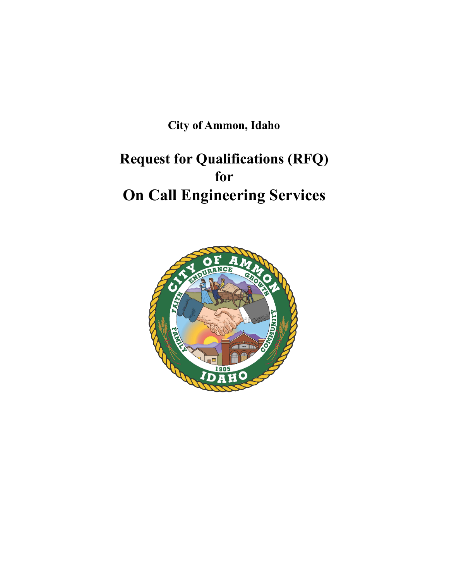**City of Ammon, Idaho**

# **Request for Qualifications (RFQ) for On Call Engineering Services**

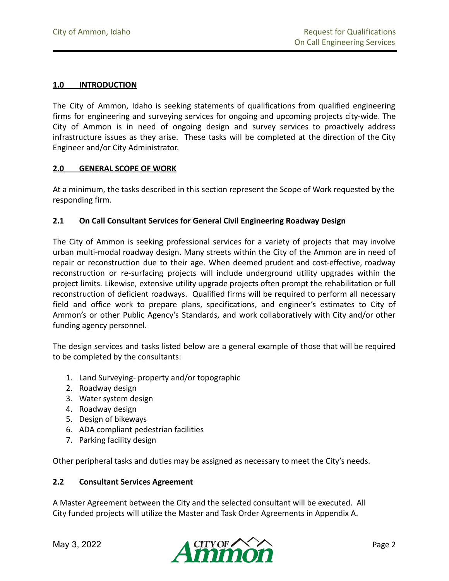### **1.0 INTRODUCTION**

The City of Ammon, Idaho is seeking statements of qualifications from qualified engineering firms for engineering and surveying services for ongoing and upcoming projects city-wide. The City of Ammon is in need of ongoing design and survey services to proactively address infrastructure issues as they arise. These tasks will be completed at the direction of the City Engineer and/or City Administrator.

#### **2.0 GENERAL SCOPE OF WORK**

At a minimum, the tasks described in this section represent the Scope of Work requested by the responding firm.

#### **2.1 On Call Consultant Services for General Civil Engineering Roadway Design**

The City of Ammon is seeking professional services for a variety of projects that may involve urban multi-modal roadway design. Many streets within the City of the Ammon are in need of repair or reconstruction due to their age. When deemed prudent and cost-effective, roadway reconstruction or re-surfacing projects will include underground utility upgrades within the project limits. Likewise, extensive utility upgrade projects often prompt the rehabilitation or full reconstruction of deficient roadways. Qualified firms will be required to perform all necessary field and office work to prepare plans, specifications, and engineer's estimates to City of Ammon's or other Public Agency's Standards, and work collaboratively with City and/or other funding agency personnel.

The design services and tasks listed below are a general example of those that will be required to be completed by the consultants:

- 1. Land Surveying- property and/or topographic
- 2. Roadway design
- 3. Water system design
- 4. Roadway design
- 5. Design of bikeways
- 6. ADA compliant pedestrian facilities
- 7. Parking facility design

Other peripheral tasks and duties may be assigned as necessary to meet the City's needs.

### **2.2 Consultant Services Agreement**

A Master Agreement between the City and the selected consultant will be executed. All City funded projects will utilize the Master and Task Order Agreements in Appendix A.

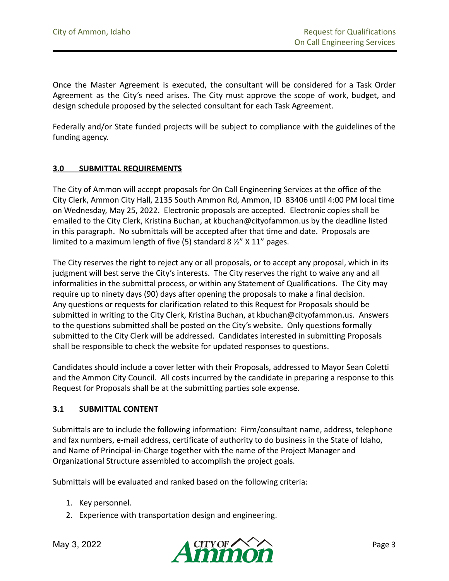Once the Master Agreement is executed, the consultant will be considered for a Task Order Agreement as the City's need arises. The City must approve the scope of work, budget, and design schedule proposed by the selected consultant for each Task Agreement.

Federally and/or State funded projects will be subject to compliance with the guidelines of the funding agency.

### **3.0 SUBMITTAL REQUIREMENTS**

The City of Ammon will accept proposals for On Call Engineering Services at the office of the City Clerk, Ammon City Hall, 2135 South Ammon Rd, Ammon, ID 83406 until 4:00 PM local time on Wednesday, May 25, 2022. Electronic proposals are accepted. Electronic copies shall be emailed to the City Clerk, Kristina Buchan, at kbuchan@cityofammon.us by the deadline listed in this paragraph. No submittals will be accepted after that time and date. Proposals are limited to a maximum length of five (5) standard 8 ½" X 11" pages.

The City reserves the right to reject any or all proposals, or to accept any proposal, which in its judgment will best serve the City's interests. The City reserves the right to waive any and all informalities in the submittal process, or within any Statement of Qualifications. The City may require up to ninety days (90) days after opening the proposals to make a final decision. Any questions or requests for clarification related to this Request for Proposals should be submitted in writing to the City Clerk, Kristina Buchan, at kbuchan@cityofammon.us. Answers to the questions submitted shall be posted on the City's website. Only questions formally submitted to the City Clerk will be addressed. Candidates interested in submitting Proposals shall be responsible to check the website for updated responses to questions.

Candidates should include a cover letter with their Proposals, addressed to Mayor Sean Coletti and the Ammon City Council. All costs incurred by the candidate in preparing a response to this Request for Proposals shall be at the submitting parties sole expense.

#### **3.1 SUBMITTAL CONTENT**

Submittals are to include the following information: Firm/consultant name, address, telephone and fax numbers, e-mail address, certificate of authority to do business in the State of Idaho, and Name of Principal-in-Charge together with the name of the Project Manager and Organizational Structure assembled to accomplish the project goals.

Submittals will be evaluated and ranked based on the following criteria:

- 1. Key personnel.
- 2. Experience with transportation design and engineering.

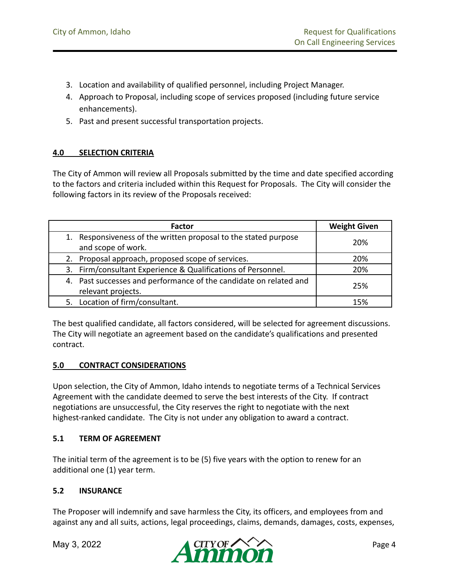- 3. Location and availability of qualified personnel, including Project Manager.
- 4. Approach to Proposal, including scope of services proposed (including future service enhancements).
- 5. Past and present successful transportation projects.

### **4.0 SELECTION CRITERIA**

The City of Ammon will review all Proposals submitted by the time and date specified according to the factors and criteria included within this Request for Proposals. The City will consider the following factors in its review of the Proposals received:

| <b>Factor</b>                                                     | <b>Weight Given</b> |  |
|-------------------------------------------------------------------|---------------------|--|
| 1. Responsiveness of the written proposal to the stated purpose   | 20%                 |  |
| and scope of work.                                                |                     |  |
| 2. Proposal approach, proposed scope of services.                 | 20%                 |  |
| 3. Firm/consultant Experience & Qualifications of Personnel.      | 20%                 |  |
| 4. Past successes and performance of the candidate on related and | 25%                 |  |
| relevant projects.                                                |                     |  |
| 5. Location of firm/consultant.                                   | 15%                 |  |

The best qualified candidate, all factors considered, will be selected for agreement discussions. The City will negotiate an agreement based on the candidate's qualifications and presented contract.

### **5.0 CONTRACT CONSIDERATIONS**

Upon selection, the City of Ammon, Idaho intends to negotiate terms of a Technical Services Agreement with the candidate deemed to serve the best interests of the City. If contract negotiations are unsuccessful, the City reserves the right to negotiate with the next highest-ranked candidate. The City is not under any obligation to award a contract.

### **5.1 TERM OF AGREEMENT**

The initial term of the agreement is to be (5) five years with the option to renew for an additional one (1) year term.

### **5.2 INSURANCE**

The Proposer will indemnify and save harmless the City, its officers, and employees from and against any and all suits, actions, legal proceedings, claims, demands, damages, costs, expenses,

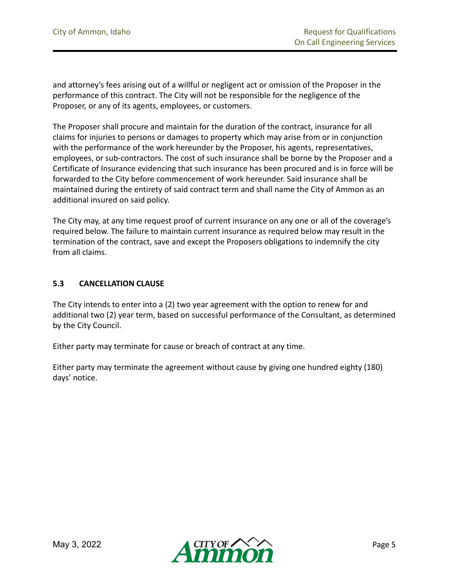and attorney's fees arising out of a willful or negligent act or omission of the Proposer in the performance of this contract. The City will not be responsible for the negligence of the Proposer, or any of its agents, employees, or customers.

The Proposer shall procure and maintain for the duration of the contract, insurance for all claims for injuries to persons or damages to property which may arise from or in conjunction with the performance of the work hereunder by the Proposer, his agents, representatives, employees, or sub-contractors. The cost of such insurance shall be borne by the Proposer and a Certificate of Insurance evidencing that such insurance has been procured and is in force will be forwarded to the City before commencement of work hereunder. Said insurance shall be maintained during the entirety of said contract term and shall name the City of Ammon as an additional insured on said policy.

The City may, at any time request proof of current insurance on any one or all of the coverage's required below. The failure to maintain current insurance as required below may result in the termination of the contract, save and except the Proposers obligations to indemnify the city from all claims.

### **5.3 CANCELLATION CLAUSE**

The City intends to enter into a (2) two year agreement with the option to renew for and additional two (2) year term, based on successful performance of the Consultant, as determined by the City Council.

Either party may terminate for cause or breach of contract at any time.

Either party may terminate the agreement without cause by giving one hundred eighty (180) days' notice.

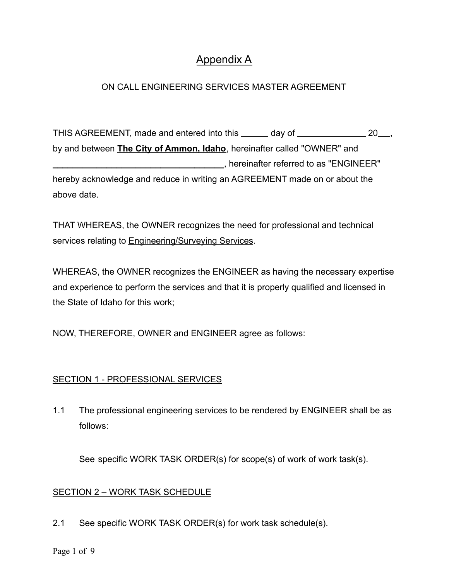# Appendix A

# ON CALL ENGINEERING SERVICES MASTER AGREEMENT

THIS AGREEMENT, made and entered into this \_\_\_\_\_ day of \_\_\_\_\_\_\_\_\_\_\_\_\_\_\_ 20\_\_, by and between **The City of Ammon, Idaho**, hereinafter called "OWNER" and **\_\_\_\_\_\_\_\_\_\_\_\_\_\_\_\_\_\_\_\_\_\_\_\_\_\_\_\_\_\_\_\_\_\_\_**, hereinafter referred to as "ENGINEER" hereby acknowledge and reduce in writing an AGREEMENT made on or about the above date.

THAT WHEREAS, the OWNER recognizes the need for professional and technical services relating to Engineering/Surveying Services.

WHEREAS, the OWNER recognizes the ENGINEER as having the necessary expertise and experience to perform the services and that it is properly qualified and licensed in the State of Idaho for this work;

NOW, THEREFORE, OWNER and ENGINEER agree as follows:

# SECTION 1 - PROFESSIONAL SERVICES

1.1 The professional engineering services to be rendered by ENGINEER shall be as follows:

See specific WORK TASK ORDER(s) for scope(s) of work of work task(s).

# SECTION 2 – WORK TASK SCHEDULE

2.1 See specific WORK TASK ORDER(s) for work task schedule(s).

Page 1 of 9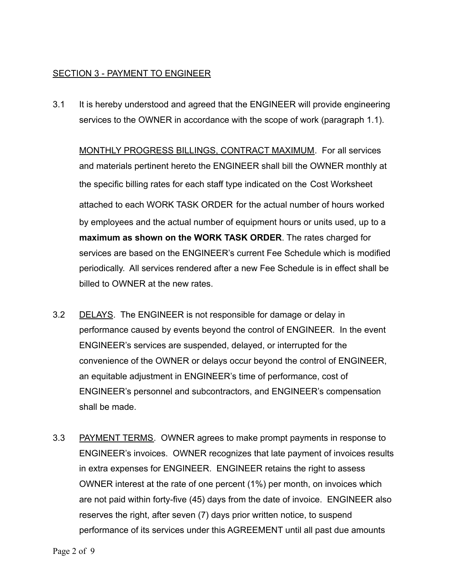### SECTION 3 - PAYMENT TO ENGINEER

3.1 It is hereby understood and agreed that the ENGINEER will provide engineering services to the OWNER in accordance with the scope of work (paragraph 1.1).

MONTHLY PROGRESS BILLINGS, CONTRACT MAXIMUM. For all services and materials pertinent hereto the ENGINEER shall bill the OWNER monthly at the specific billing rates for each staff type indicated on the Cost Worksheet attached to each WORK TASK ORDER for the actual number of hours worked by employees and the actual number of equipment hours or units used, up to a **maximum as shown on the WORK TASK ORDER**. The rates charged for services are based on the ENGINEER's current Fee Schedule which is modified periodically. All services rendered after a new Fee Schedule is in effect shall be billed to OWNER at the new rates.

- 3.2 DELAYS. The ENGINEER is not responsible for damage or delay in performance caused by events beyond the control of ENGINEER. In the event ENGINEER's services are suspended, delayed, or interrupted for the convenience of the OWNER or delays occur beyond the control of ENGINEER, an equitable adjustment in ENGINEER's time of performance, cost of ENGINEER's personnel and subcontractors, and ENGINEER's compensation shall be made.
- 3.3 PAYMENT TERMS. OWNER agrees to make prompt payments in response to ENGINEER's invoices. OWNER recognizes that late payment of invoices results in extra expenses for ENGINEER. ENGINEER retains the right to assess OWNER interest at the rate of one percent (1%) per month, on invoices which are not paid within forty-five (45) days from the date of invoice. ENGINEER also reserves the right, after seven (7) days prior written notice, to suspend performance of its services under this AGREEMENT until all past due amounts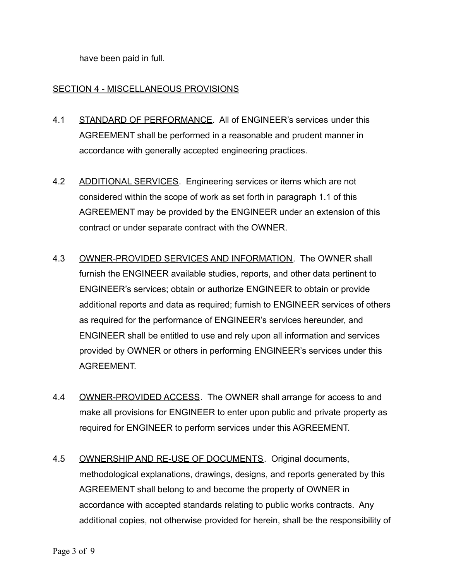have been paid in full.

# SECTION 4 - MISCELLANEOUS PROVISIONS

- 4.1 STANDARD OF PERFORMANCE. All of ENGINEER's services under this AGREEMENT shall be performed in a reasonable and prudent manner in accordance with generally accepted engineering practices.
- 4.2 ADDITIONAL SERVICES. Engineering services or items which are not considered within the scope of work as set forth in paragraph 1.1 of this AGREEMENT may be provided by the ENGINEER under an extension of this contract or under separate contract with the OWNER.
- 4.3 OWNER-PROVIDED SERVICES AND INFORMATION. The OWNER shall furnish the ENGINEER available studies, reports, and other data pertinent to ENGINEER's services; obtain or authorize ENGINEER to obtain or provide additional reports and data as required; furnish to ENGINEER services of others as required for the performance of ENGINEER's services hereunder, and ENGINEER shall be entitled to use and rely upon all information and services provided by OWNER or others in performing ENGINEER's services under this **AGREEMENT**
- 4.4 OWNER-PROVIDED ACCESS. The OWNER shall arrange for access to and make all provisions for ENGINEER to enter upon public and private property as required for ENGINEER to perform services under this AGREEMENT.
- 4.5 OWNERSHIP AND RE-USE OF DOCUMENTS. Original documents, methodological explanations, drawings, designs, and reports generated by this AGREEMENT shall belong to and become the property of OWNER in accordance with accepted standards relating to public works contracts. Any additional copies, not otherwise provided for herein, shall be the responsibility of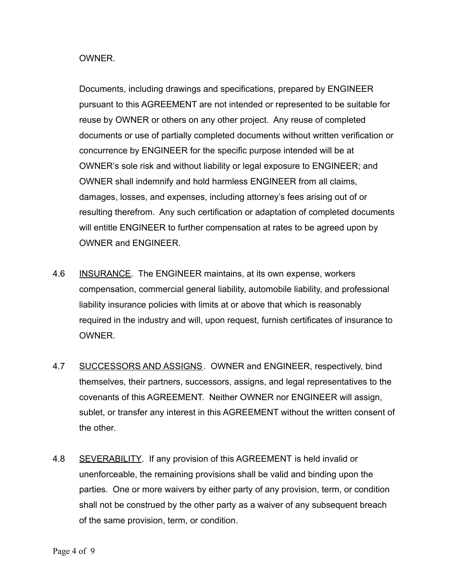### **OWNER**

Documents, including drawings and specifications, prepared by ENGINEER pursuant to this AGREEMENT are not intended or represented to be suitable for reuse by OWNER or others on any other project. Any reuse of completed documents or use of partially completed documents without written verification or concurrence by ENGINEER for the specific purpose intended will be at OWNER's sole risk and without liability or legal exposure to ENGINEER; and OWNER shall indemnify and hold harmless ENGINEER from all claims, damages, losses, and expenses, including attorney's fees arising out of or resulting therefrom. Any such certification or adaptation of completed documents will entitle ENGINEER to further compensation at rates to be agreed upon by OWNER and ENGINEER.

- 4.6 INSURANCE. The ENGINEER maintains, at its own expense, workers compensation, commercial general liability, automobile liability, and professional liability insurance policies with limits at or above that which is reasonably required in the industry and will, upon request, furnish certificates of insurance to **OWNER**
- 4.7 SUCCESSORS AND ASSIGNS. OWNER and ENGINEER, respectively, bind themselves, their partners, successors, assigns, and legal representatives to the covenants of this AGREEMENT. Neither OWNER nor ENGINEER will assign, sublet, or transfer any interest in this AGREEMENT without the written consent of the other.
- 4.8 SEVERABILITY. If any provision of this AGREEMENT is held invalid or unenforceable, the remaining provisions shall be valid and binding upon the parties. One or more waivers by either party of any provision, term, or condition shall not be construed by the other party as a waiver of any subsequent breach of the same provision, term, or condition.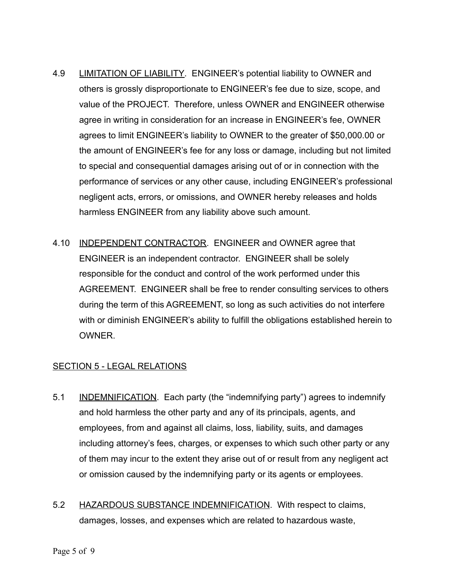- 4.9 LIMITATION OF LIABILITY. ENGINEER's potential liability to OWNER and others is grossly disproportionate to ENGINEER's fee due to size, scope, and value of the PROJECT. Therefore, unless OWNER and ENGINEER otherwise agree in writing in consideration for an increase in ENGINEER's fee, OWNER agrees to limit ENGINEER's liability to OWNER to the greater of \$50,000.00 or the amount of ENGINEER's fee for any loss or damage, including but not limited to special and consequential damages arising out of or in connection with the performance of services or any other cause, including ENGINEER's professional negligent acts, errors, or omissions, and OWNER hereby releases and holds harmless ENGINEER from any liability above such amount.
- 4.10 INDEPENDENT CONTRACTOR. ENGINEER and OWNER agree that ENGINEER is an independent contractor. ENGINEER shall be solely responsible for the conduct and control of the work performed under this AGREEMENT. ENGINEER shall be free to render consulting services to others during the term of this AGREEMENT, so long as such activities do not interfere with or diminish ENGINEER's ability to fulfill the obligations established herein to **OWNER**

# SECTION 5 - LEGAL RELATIONS

- 5.1 INDEMNIFICATION. Each party (the "indemnifying party") agrees to indemnify and hold harmless the other party and any of its principals, agents, and employees, from and against all claims, loss, liability, suits, and damages including attorney's fees, charges, or expenses to which such other party or any of them may incur to the extent they arise out of or result from any negligent act or omission caused by the indemnifying party or its agents or employees.
- 5.2 HAZARDOUS SUBSTANCE INDEMNIFICATION. With respect to claims, damages, losses, and expenses which are related to hazardous waste,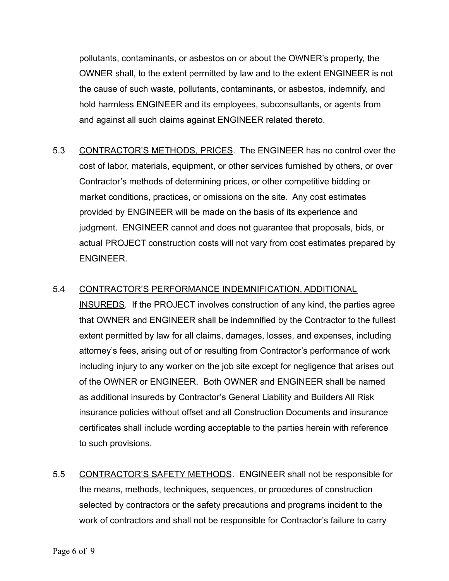pollutants, contaminants, or asbestos on or about the OWNER's property, the OWNER shall, to the extent permitted by law and to the extent ENGINEER is not the cause of such waste, pollutants, contaminants, or asbestos, indemnify, and hold harmless ENGINEER and its employees, subconsultants, or agents from and against all such claims against ENGINEER related thereto.

- 5.3 CONTRACTOR'S METHODS, PRICES. The ENGINEER has no control over the cost of labor, materials, equipment, or other services furnished by others, or over Contractor's methods of determining prices, or other competitive bidding or market conditions, practices, or omissions on the site. Any cost estimates provided by ENGINEER will be made on the basis of its experience and judgment. ENGINEER cannot and does not guarantee that proposals, bids, or actual PROJECT construction costs will not vary from cost estimates prepared by ENGINEER.
- 5.4 CONTRACTOR'S PERFORMANCE INDEMNIFICATION, ADDITIONAL INSUREDS. If the PROJECT involves construction of any kind, the parties agree that OWNER and ENGINEER shall be indemnified by the Contractor to the fullest extent permitted by law for all claims, damages, losses, and expenses, including attorney's fees, arising out of or resulting from Contractor's performance of work including injury to any worker on the job site except for negligence that arises out of the OWNER or ENGINEER. Both OWNER and ENGINEER shall be named as additional insureds by Contractor's General Liability and Builders All Risk insurance policies without offset and all Construction Documents and insurance certificates shall include wording acceptable to the parties herein with reference to such provisions.
- 5.5 CONTRACTOR'S SAFETY METHODS. ENGINEER shall not be responsible for the means, methods, techniques, sequences, or procedures of construction selected by contractors or the safety precautions and programs incident to the work of contractors and shall not be responsible for Contractor's failure to carry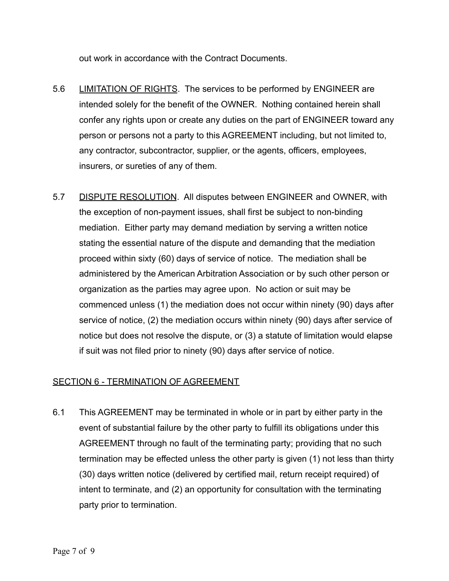out work in accordance with the Contract Documents.

- 5.6 LIMITATION OF RIGHTS. The services to be performed by ENGINEER are intended solely for the benefit of the OWNER. Nothing contained herein shall confer any rights upon or create any duties on the part of ENGINEER toward any person or persons not a party to this AGREEMENT including, but not limited to, any contractor, subcontractor, supplier, or the agents, officers, employees, insurers, or sureties of any of them.
- 5.7 DISPUTE RESOLUTION. All disputes between ENGINEER and OWNER, with the exception of non-payment issues, shall first be subject to non-binding mediation. Either party may demand mediation by serving a written notice stating the essential nature of the dispute and demanding that the mediation proceed within sixty (60) days of service of notice. The mediation shall be administered by the American Arbitration Association or by such other person or organization as the parties may agree upon. No action or suit may be commenced unless (1) the mediation does not occur within ninety (90) days after service of notice, (2) the mediation occurs within ninety (90) days after service of notice but does not resolve the dispute, or (3) a statute of limitation would elapse if suit was not filed prior to ninety (90) days after service of notice.

# SECTION 6 - TERMINATION OF AGREEMENT

6.1 This AGREEMENT may be terminated in whole or in part by either party in the event of substantial failure by the other party to fulfill its obligations under this AGREEMENT through no fault of the terminating party; providing that no such termination may be effected unless the other party is given (1) not less than thirty (30) days written notice (delivered by certified mail, return receipt required) of intent to terminate, and (2) an opportunity for consultation with the terminating party prior to termination.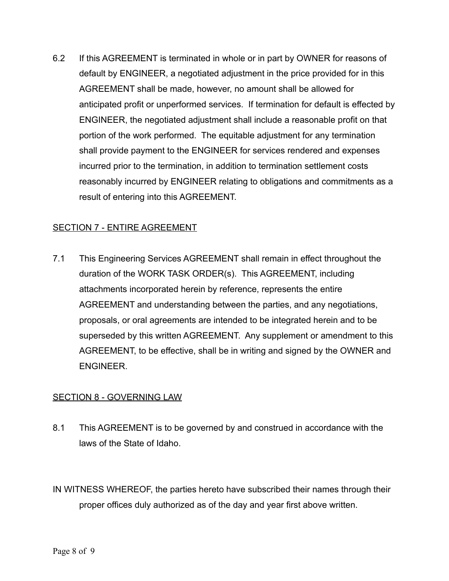6.2 If this AGREEMENT is terminated in whole or in part by OWNER for reasons of default by ENGINEER, a negotiated adjustment in the price provided for in this AGREEMENT shall be made, however, no amount shall be allowed for anticipated profit or unperformed services. If termination for default is effected by ENGINEER, the negotiated adjustment shall include a reasonable profit on that portion of the work performed. The equitable adjustment for any termination shall provide payment to the ENGINEER for services rendered and expenses incurred prior to the termination, in addition to termination settlement costs reasonably incurred by ENGINEER relating to obligations and commitments as a result of entering into this AGREEMENT.

# SECTION 7 - ENTIRE AGREEMENT

7.1 This Engineering Services AGREEMENT shall remain in effect throughout the duration of the WORK TASK ORDER(s). This AGREEMENT, including attachments incorporated herein by reference, represents the entire AGREEMENT and understanding between the parties, and any negotiations, proposals, or oral agreements are intended to be integrated herein and to be superseded by this written AGREEMENT. Any supplement or amendment to this AGREEMENT, to be effective, shall be in writing and signed by the OWNER and ENGINEER.

# **SECTION 8 - GOVERNING LAW**

8.1 This AGREEMENT is to be governed by and construed in accordance with the laws of the State of Idaho.

IN WITNESS WHEREOF, the parties hereto have subscribed their names through their proper offices duly authorized as of the day and year first above written.